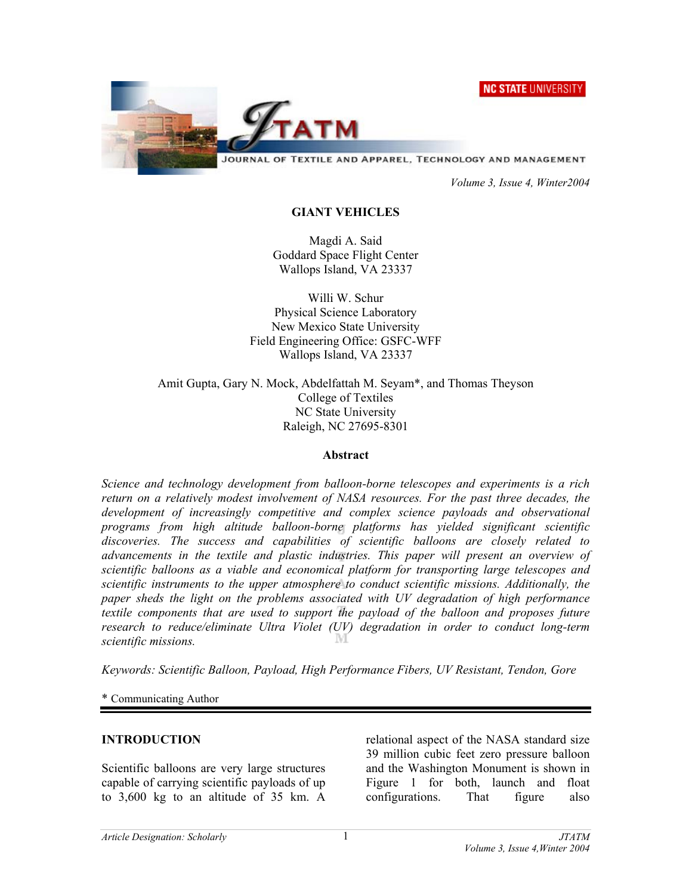**NC STATE UNIVERSITY** 



JOURNAL OF TEXTILE AND APPAREL, TECHNOLOGY AND MANAGEMENT

 *Volume 3, Issue 4, Winter2004* 

## **GIANT VEHICLES**

Magdi A. Said Goddard Space Flight Center Wallops Island, VA 23337

Willi W. Schur Physical Science Laboratory New Mexico State University Field Engineering Office: GSFC-WFF Wallops Island, VA 23337

Amit Gupta, Gary N. Mock, Abdelfattah M. Seyam\*, and Thomas Theyson College of Textiles NC State University Raleigh, NC 27695-8301

#### **Abstract**

*Science and technology development from balloon-borne telescopes and experiments is a rich return on a relatively modest involvement of NASA resources. For the past three decades, the*  development of increasingly competitive and complex science payloads and observational *programs from high altitude balloon-borne platforms has yielded significant scientific discoveries. The success and capabilities of scientific balloons are closely related to advancements in the textile and plastic industries. This paper will present an overview of scientific balloons as a viable and economical platform for transporting large telescopes and scientific instruments to the upper atmosphere to conduct scientific missions. Additionally, the paper sheds the light on the problems associated with UV degradation of high performance textile components that are used to support the payload of the balloon and proposes future research to reduce/eliminate Ultra Violet (UV) degradation in order to conduct long-term scientific missions.* 

*Keywords: Scientific Balloon, Payload, High Performance Fibers, UV Resistant, Tendon, Gore* 

\* Communicating Author

### **INTRODUCTION**

Scientific balloons are very large structures capable of carrying scientific payloads of up to 3,600 kg to an altitude of 35 km. A

relational aspect of the NASA standard size 39 million cubic feet zero pressure balloon and the Washington Monument is shown in Figure 1 for both, launch and float configurations. That figure also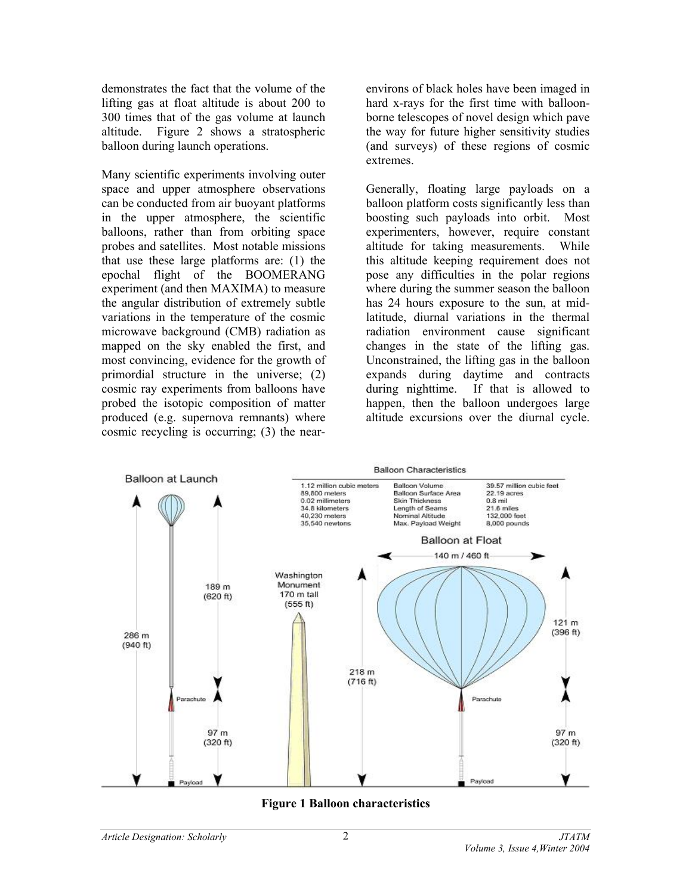demonstrates the fact that the volume of the lifting gas at float altitude is about 200 to 300 times that of the gas volume at launch altitude. Figure 2 shows a stratospheric balloon during launch operations.

Many scientific experiments involving outer space and upper atmosphere observations can be conducted from air buoyant platforms in the upper atmosphere, the scientific balloons, rather than from orbiting space probes and satellites. Most notable missions that use these large platforms are: (1) the epochal flight of the BOOMERANG experiment (and then MAXIMA) to measure the angular distribution of extremely subtle variations in the temperature of the cosmic microwave background (CMB) radiation as mapped on the sky enabled the first, and most convincing, evidence for the growth of primordial structure in the universe; (2) cosmic ray experiments from balloons have probed the isotopic composition of matter produced (e.g. supernova remnants) where cosmic recycling is occurring; (3) the nearenvirons of black holes have been imaged in hard x-rays for the first time with balloonborne telescopes of novel design which pave the way for future higher sensitivity studies (and surveys) of these regions of cosmic extremes.

Generally, floating large payloads on a balloon platform costs significantly less than boosting such payloads into orbit. Most experimenters, however, require constant altitude for taking measurements. While this altitude keeping requirement does not pose any difficulties in the polar regions where during the summer season the balloon has 24 hours exposure to the sun, at midlatitude, diurnal variations in the thermal radiation environment cause significant changes in the state of the lifting gas. Unconstrained, the lifting gas in the balloon expands during daytime and contracts during nighttime. If that is allowed to happen, then the balloon undergoes large altitude excursions over the diurnal cycle.



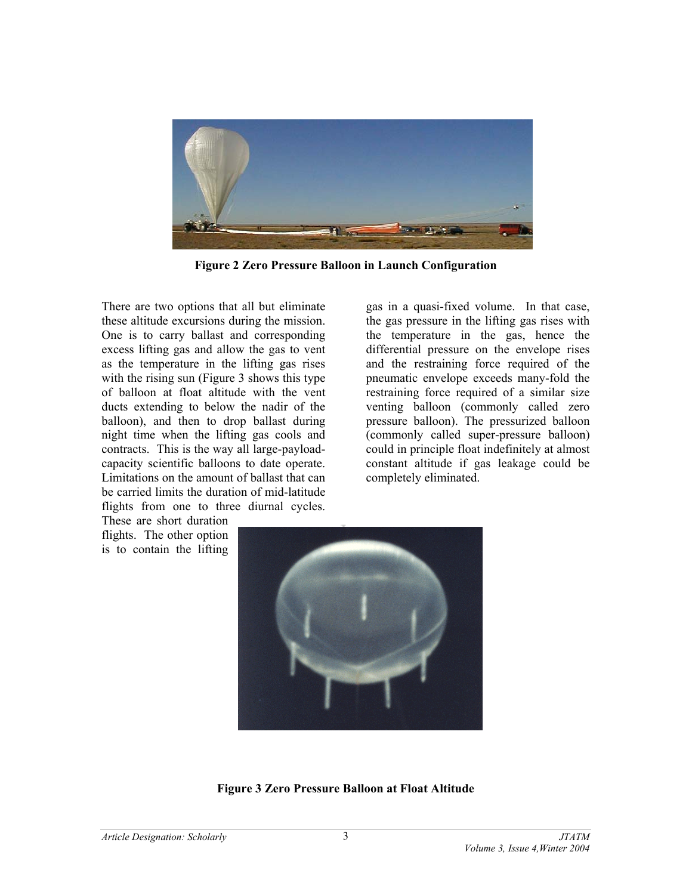

**Figure 2 Zero Pressure Balloon in Launch Configuration** 

There are two options that all but eliminate these altitude excursions during the mission. One is to carry ballast and corresponding excess lifting gas and allow the gas to vent as the temperature in the lifting gas rises with the rising sun (Figure 3 shows this type) of balloon at float altitude with the vent ducts extending to below the nadir of the balloon), and then to drop ballast during night time when the lifting gas cools and contracts. This is the way all large-payloadcapacity scientific balloons to date operate. Limitations on the amount of ballast that can be carried limits the duration of mid-latitude flights from one to three diurnal cycles.

These are short duration flights. The other option is to contain the lifting gas in a quasi-fixed volume. In that case, the gas pressure in the lifting gas rises with the temperature in the gas, hence the differential pressure on the envelope rises and the restraining force required of the pneumatic envelope exceeds many-fold the restraining force required of a similar size venting balloon (commonly called zero pressure balloon). The pressurized balloon (commonly called super-pressure balloon) could in principle float indefinitely at almost constant altitude if gas leakage could be completely eliminated.



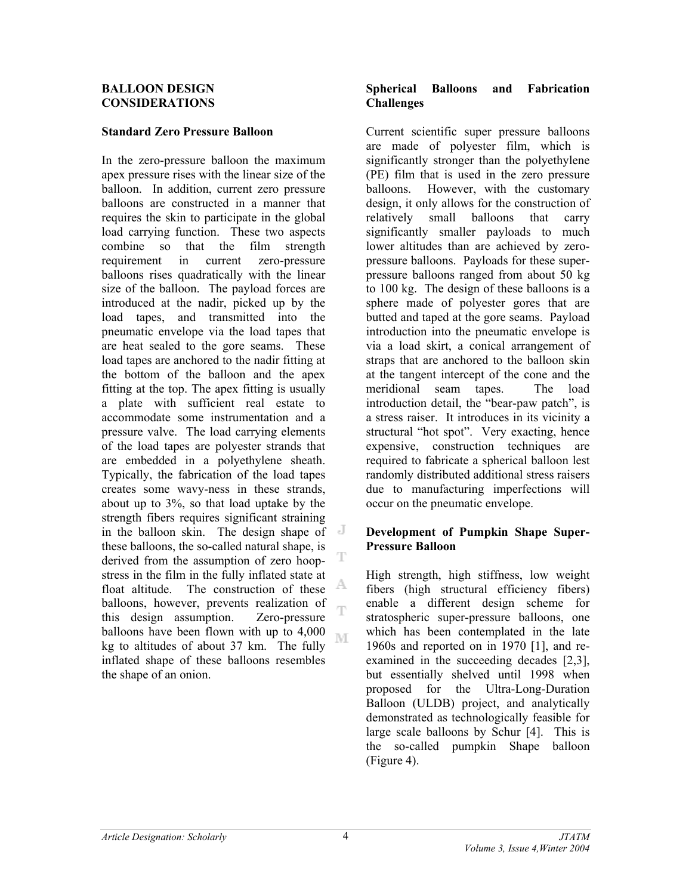#### **BALLOON DESIGN CONSIDERATIONS**

# **Standard Zero Pressure Balloon**

In the zero-pressure balloon the maximum apex pressure rises with the linear size of the balloon. In addition, current zero pressure balloons are constructed in a manner that requires the skin to participate in the global load carrying function. These two aspects combine so that the film strength requirement in current zero-pressure balloons rises quadratically with the linear size of the balloon. The payload forces are introduced at the nadir, picked up by the load tapes, and transmitted into the pneumatic envelope via the load tapes that are heat sealed to the gore seams. These load tapes are anchored to the nadir fitting at the bottom of the balloon and the apex fitting at the top. The apex fitting is usually a plate with sufficient real estate to accommodate some instrumentation and a pressure valve. The load carrying elements of the load tapes are polyester strands that are embedded in a polyethylene sheath. Typically, the fabrication of the load tapes creates some wavy-ness in these strands, about up to 3%, so that load uptake by the strength fibers requires significant straining in the balloon skin. The design shape of these balloons, the so-called natural shape, is derived from the assumption of zero hoopstress in the film in the fully inflated state at A, float altitude. The construction of these balloons, however, prevents realization of Ŧ this design assumption. Zero-pressure balloons have been flown with up to 4,000 M kg to altitudes of about 37 km. The fully inflated shape of these balloons resembles the shape of an onion.

## **Spherical Balloons and Fabrication Challenges**

Current scientific super pressure balloons are made of polyester film, which is significantly stronger than the polyethylene (PE) film that is used in the zero pressure balloons. However, with the customary design, it only allows for the construction of relatively small balloons that carry significantly smaller payloads to much lower altitudes than are achieved by zeropressure balloons. Payloads for these superpressure balloons ranged from about 50 kg to 100 kg. The design of these balloons is a sphere made of polyester gores that are butted and taped at the gore seams. Payload introduction into the pneumatic envelope is via a load skirt, a conical arrangement of straps that are anchored to the balloon skin at the tangent intercept of the cone and the meridional seam tapes. The load introduction detail, the "bear-paw patch", is a stress raiser. It introduces in its vicinity a structural "hot spot". Very exacting, hence expensive, construction techniques are required to fabricate a spherical balloon lest randomly distributed additional stress raisers due to manufacturing imperfections will occur on the pneumatic envelope.

# **Development of Pumpkin Shape Super-Pressure Balloon**

High strength, high stiffness, low weight fibers (high structural efficiency fibers) enable a different design scheme for stratospheric super-pressure balloons, one which has been contemplated in the late 1960s and reported on in 1970 [1], and reexamined in the succeeding decades [2,3], but essentially shelved until 1998 when proposed for the Ultra-Long-Duration Balloon (ULDB) project, and analytically demonstrated as technologically feasible for large scale balloons by Schur [4]. This is the so-called pumpkin Shape balloon (Figure 4).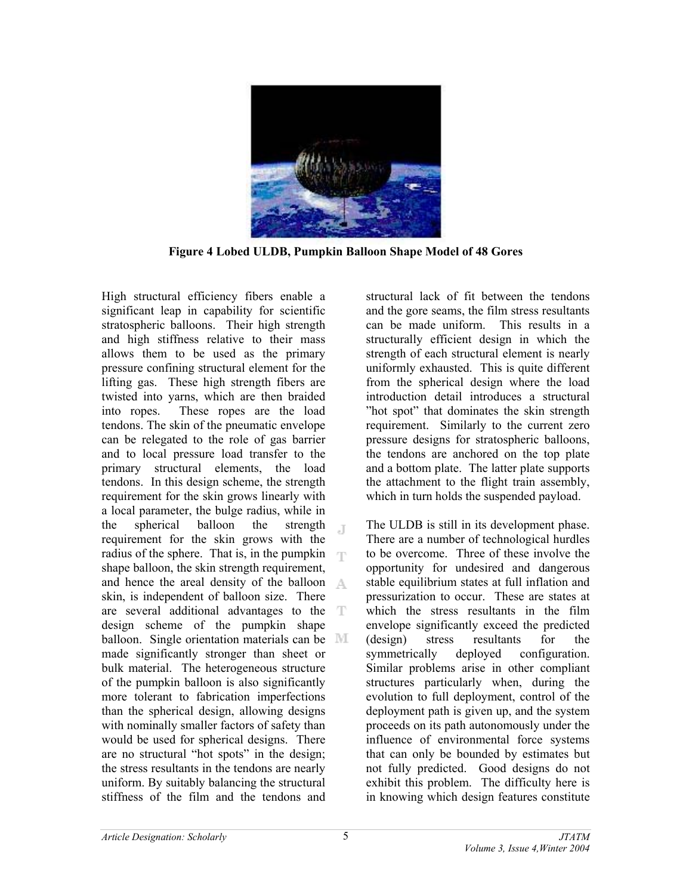

**Figure 4 Lobed ULDB, Pumpkin Balloon Shape Model of 48 Gores** 

High structural efficiency fibers enable a significant leap in capability for scientific stratospheric balloons. Their high strength and high stiffness relative to their mass allows them to be used as the primary pressure confining structural element for the lifting gas. These high strength fibers are twisted into yarns, which are then braided into ropes. These ropes are the load tendons. The skin of the pneumatic envelope can be relegated to the role of gas barrier and to local pressure load transfer to the primary structural elements, the load tendons. In this design scheme, the strength requirement for the skin grows linearly with a local parameter, the bulge radius, while in the spherical balloon the strength Л. requirement for the skin grows with the radius of the sphere. That is, in the pumpkin  $\Box$ shape balloon, the skin strength requirement, and hence the areal density of the balloon skin, is independent of balloon size. There are several additional advantages to the design scheme of the pumpkin shape balloon. Single orientation materials can be  $\mathbb{M}$ made significantly stronger than sheet or bulk material. The heterogeneous structure of the pumpkin balloon is also significantly more tolerant to fabrication imperfections than the spherical design, allowing designs with nominally smaller factors of safety than would be used for spherical designs. There are no structural "hot spots" in the design; the stress resultants in the tendons are nearly uniform. By suitably balancing the structural stiffness of the film and the tendons and

structural lack of fit between the tendons and the gore seams, the film stress resultants can be made uniform. This results in a structurally efficient design in which the strength of each structural element is nearly uniformly exhausted. This is quite different from the spherical design where the load introduction detail introduces a structural "hot spot" that dominates the skin strength requirement. Similarly to the current zero pressure designs for stratospheric balloons, the tendons are anchored on the top plate and a bottom plate. The latter plate supports the attachment to the flight train assembly, which in turn holds the suspended payload.

The ULDB is still in its development phase. There are a number of technological hurdles to be overcome. Three of these involve the opportunity for undesired and dangerous stable equilibrium states at full inflation and pressurization to occur. These are states at which the stress resultants in the film envelope significantly exceed the predicted (design) stress resultants for the symmetrically deployed configuration. Similar problems arise in other compliant structures particularly when, during the evolution to full deployment, control of the deployment path is given up, and the system proceeds on its path autonomously under the influence of environmental force systems that can only be bounded by estimates but not fully predicted. Good designs do not exhibit this problem. The difficulty here is in knowing which design features constitute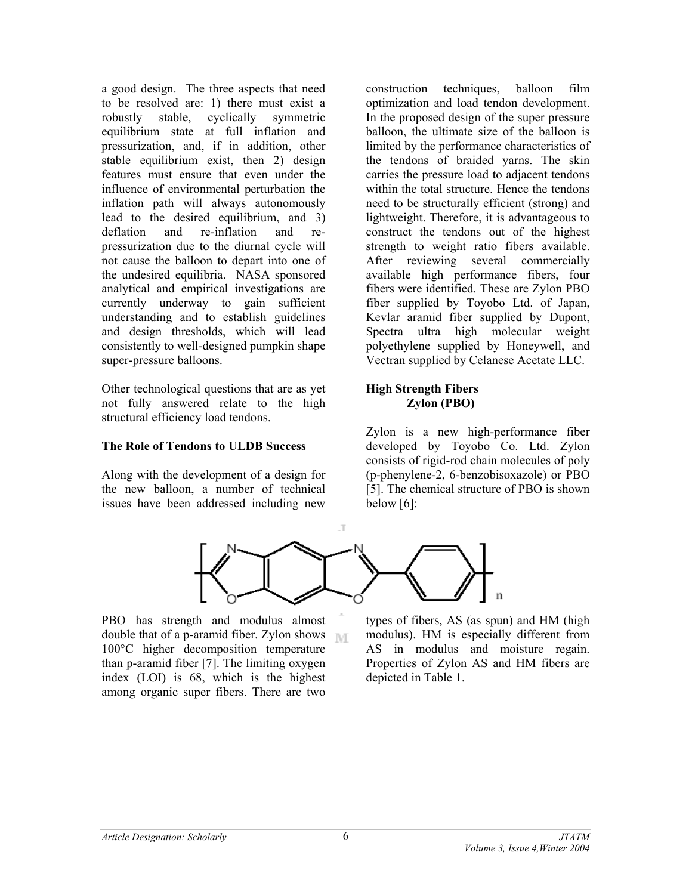a good design. The three aspects that need to be resolved are: 1) there must exist a robustly stable, cyclically symmetric equilibrium state at full inflation and pressurization, and, if in addition, other stable equilibrium exist, then 2) design features must ensure that even under the influence of environmental perturbation the inflation path will always autonomously lead to the desired equilibrium, and 3) deflation and re-inflation and repressurization due to the diurnal cycle will not cause the balloon to depart into one of the undesired equilibria. NASA sponsored analytical and empirical investigations are currently underway to gain sufficient understanding and to establish guidelines and design thresholds, which will lead consistently to well-designed pumpkin shape super-pressure balloons.

Other technological questions that are as yet not fully answered relate to the high structural efficiency load tendons.

### **The Role of Tendons to ULDB Success**

Along with the development of a design for the new balloon, a number of technical issues have been addressed including new

construction techniques, balloon film optimization and load tendon development. In the proposed design of the super pressure balloon, the ultimate size of the balloon is limited by the performance characteristics of the tendons of braided yarns. The skin carries the pressure load to adjacent tendons within the total structure. Hence the tendons need to be structurally efficient (strong) and lightweight. Therefore, it is advantageous to construct the tendons out of the highest strength to weight ratio fibers available. After reviewing several commercially available high performance fibers, four fibers were identified. These are Zylon PBO fiber supplied by Toyobo Ltd. of Japan, Kevlar aramid fiber supplied by Dupont, Spectra ultra high molecular weight polyethylene supplied by Honeywell, and Vectran supplied by Celanese Acetate LLC.

# **High Strength Fibers Zylon (PBO)**

Zylon is a new high-performance fiber developed by Toyobo Co. Ltd. Zylon consists of rigid-rod chain molecules of poly (p-phenylene-2, 6-benzobisoxazole) or PBO [5]. The chemical structure of PBO is shown below [6]:



PBO has strength and modulus almost double that of a p-aramid fiber. Zylon shows  $\mathbb{N}$ 100°C higher decomposition temperature than p-aramid fiber [7]. The limiting oxygen index (LOI) is 68, which is the highest among organic super fibers. There are two

types of fibers, AS (as spun) and HM (high modulus). HM is especially different from AS in modulus and moisture regain. Properties of Zylon AS and HM fibers are depicted in Table 1.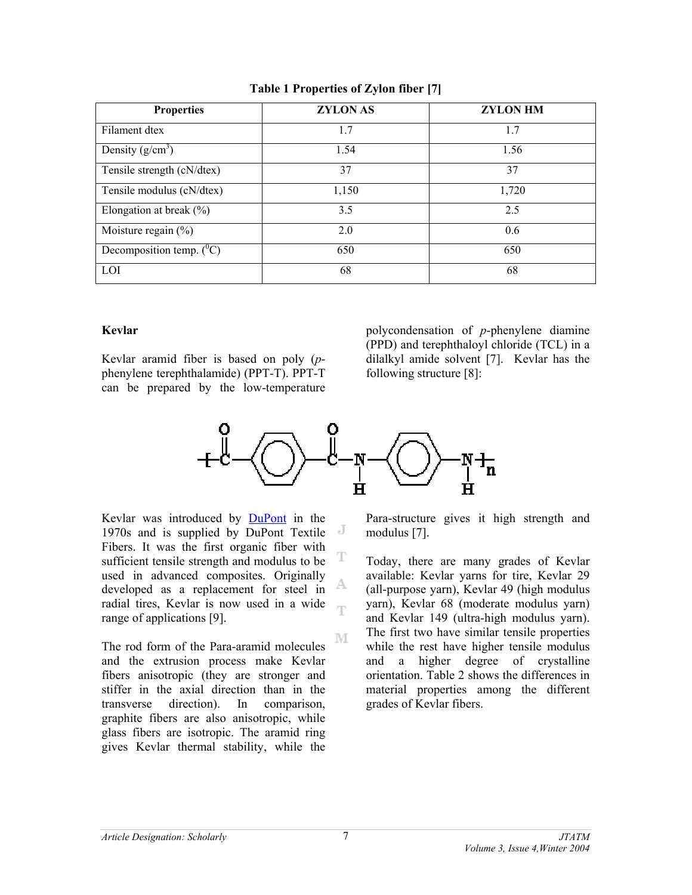| <b>Properties</b>             | <b>ZYLON AS</b> | <b>ZYLON HM</b> |
|-------------------------------|-----------------|-----------------|
| Filament dtex                 | 1.7             | 1.7             |
| Density $(g/cm^3)$            | 1.54            | 1.56            |
| Tensile strength (cN/dtex)    | 37              | 37              |
| Tensile modulus (cN/dtex)     | 1,150           | 1,720           |
| Elongation at break $(\% )$   | 3.5             | 2.5             |
| Moisture regain $(\% )$       | 2.0             | 0.6             |
| Decomposition temp. $(^{0}C)$ | 650             | 650             |
| <b>LOI</b>                    | 68              | 68              |

## **Table 1 Properties of Zylon fiber [7]**

### **Kevlar**

Kevlar aramid fiber is based on poly (*p*phenylene terephthalamide) (PPT-T). PPT-T can be prepared by the low-temperature

polycondensation of *p*-phenylene diamine (PPD) and terephthaloyl chloride (TCL) in a dilalkyl amide solvent [7]. Kevlar has the following structure [8]:



T

M

Kevlar was introduced by DuPont in the 1970s and is supplied by DuPont Textile Fibers. It was the first organic fiber with sufficient tensile strength and modulus to be used in advanced composites. Originally A developed as a replacement for steel in radial tires, Kevlar is now used in a wide ηy range of applications [9].

The rod form of the Para-aramid molecules and the extrusion process make Kevlar fibers anisotropic (they are stronger and stiffer in the axial direction than in the transverse direction). In comparison, graphite fibers are also anisotropic, while glass fibers are isotropic. The aramid ring gives Kevlar thermal stability, while the Para-structure gives it high strength and modulus [7].

Today, there are many grades of Kevlar available: Kevlar yarns for tire, Kevlar 29 (all-purpose yarn), Kevlar 49 (high modulus yarn), Kevlar 68 (moderate modulus yarn) and Kevlar 149 (ultra-high modulus yarn). The first two have similar tensile properties while the rest have higher tensile modulus and a higher degree of crystalline orientation. Table 2 shows the differences in material properties among the different grades of Kevlar fibers.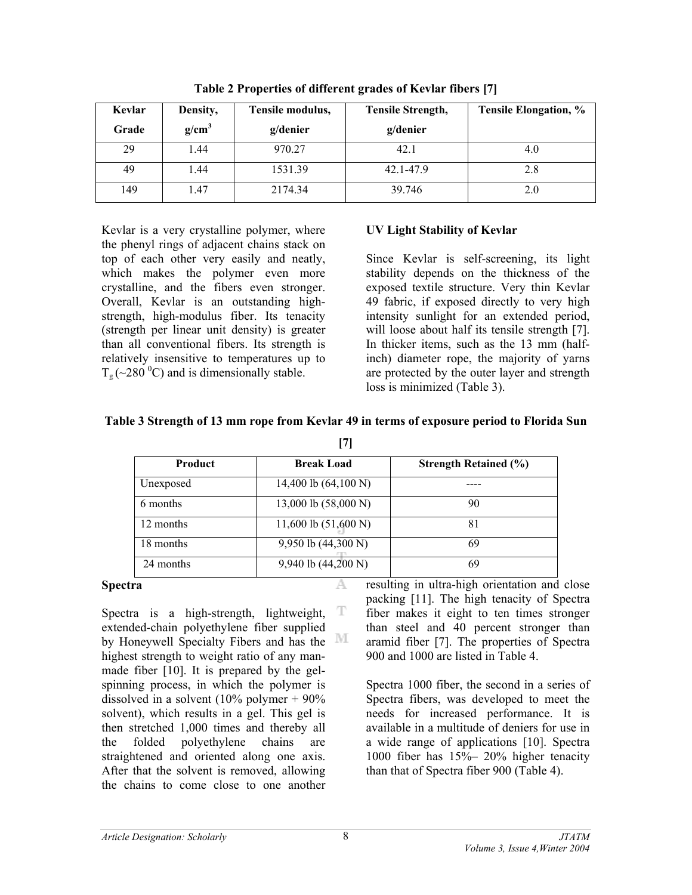| Kevlar | Density,          | Tensile modulus, | Tensile Strength, | <b>Tensile Elongation, %</b> |
|--------|-------------------|------------------|-------------------|------------------------------|
| Grade  | g/cm <sup>3</sup> | g/denier         | g/denier          |                              |
| 29     | .44               | 970.27           | 42.1              | 4.0                          |
| 49     | 1.44              | 1531.39          | 42.1-47.9         | 2.8                          |
| 149    | .47               | 2174.34          | 39.746            | 2.0                          |

**Table 2 Properties of different grades of Kevlar fibers [7]** 

Kevlar is a very crystalline polymer, where the phenyl rings of adjacent chains stack on top of each other very easily and neatly, which makes the polymer even more crystalline, and the fibers even stronger. Overall, Kevlar is an outstanding highstrength, high-modulus fiber. Its tenacity (strength per linear unit density) is greater than all conventional fibers. Its strength is relatively insensitive to temperatures up to  $T_{\rm g}$  (~280 <sup>0</sup>C) and is dimensionally stable.

# **UV Light Stability of Kevlar**

Since Kevlar is self-screening, its light stability depends on the thickness of the exposed textile structure. Very thin Kevlar 49 fabric, if exposed directly to very high intensity sunlight for an extended period, will loose about half its tensile strength [7]. In thicker items, such as the 13 mm (halfinch) diameter rope, the majority of yarns are protected by the outer layer and strength loss is minimized (Table 3).

| Table 3 Strength of 13 mm rope from Kevlar 49 in terms of exposure period to Florida Sun |  |
|------------------------------------------------------------------------------------------|--|
|                                                                                          |  |

| Product   | <b>Break Load</b>              | <b>Strength Retained (%)</b> |  |
|-----------|--------------------------------|------------------------------|--|
| Unexposed | 14,400 lb $(64,100 \text{ N})$ |                              |  |
| 6 months  | 13,000 lb (58,000 N)           | 90                           |  |
| 12 months | 11,600 lb $(51,600 N)$         | 81                           |  |
| 18 months | 9,950 lb (44,300 N)            | 69                           |  |
| 24 months | 9,940 lb (44,200 N)            | 69                           |  |

A

#### **Spectra**

T Spectra is a high-strength, lightweight, extended-chain polyethylene fiber supplied by Honeywell Specialty Fibers and has the <sup>111</sup> highest strength to weight ratio of any manmade fiber [10]. It is prepared by the gelspinning process, in which the polymer is dissolved in a solvent (10% polymer + 90% solvent), which results in a gel. This gel is then stretched 1,000 times and thereby all the folded polyethylene chains are straightened and oriented along one axis. After that the solvent is removed, allowing the chains to come close to one another

resulting in ultra-high orientation and close packing [11]. The high tenacity of Spectra fiber makes it eight to ten times stronger than steel and 40 percent stronger than aramid fiber [7]. The properties of Spectra 900 and 1000 are listed in Table 4.

Spectra 1000 fiber, the second in a series of Spectra fibers, was developed to meet the needs for increased performance. It is available in a multitude of deniers for use in a wide range of applications [10]. Spectra 1000 fiber has 15%– 20% higher tenacity than that of Spectra fiber 900 (Table 4).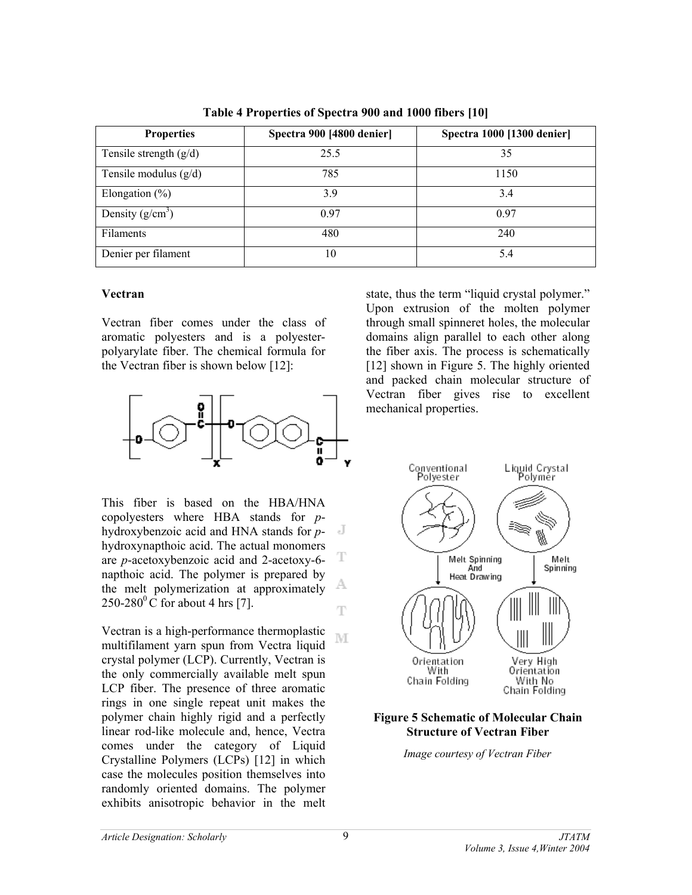| <b>Properties</b>        | Spectra 900 [4800 denier] | Spectra 1000 [1300 denier] |  |
|--------------------------|---------------------------|----------------------------|--|
| Tensile strength $(g/d)$ | 25.5                      | 35                         |  |
| Tensile modulus $(g/d)$  | 785                       | 1150                       |  |
| Elongation $(\% )$       | 3.9                       | 3.4                        |  |
| Density $(g/cm^3)$       | 0.97                      | 0.97                       |  |
| Filaments                | 480                       | 240                        |  |
| Denier per filament      | 10                        | 5.4                        |  |

**Table 4 Properties of Spectra 900 and 1000 fibers [10]** 

### **Vectran**

Vectran fiber comes under the class of aromatic polyesters and is a polyesterpolyarylate fiber. The chemical formula for the Vectran fiber is shown below [12]:



This fiber is based on the HBA/HNA copolyesters where HBA stands for *p*- $\mathbf{J}$ hydroxybenzoic acid and HNA stands for *p*hydroxynapthoic acid. The actual monomers are *p*-acetoxybenzoic acid and 2-acetoxy-6 napthoic acid. The polymer is prepared by A the melt polymerization at approximately  $250-280$ <sup>o</sup>C for about 4 hrs [7]. T

Vectran is a high-performance thermoplastic M multifilament yarn spun from Vectra liquid crystal polymer (LCP). Currently, Vectran is the only commercially available melt spun LCP fiber. The presence of three aromatic rings in one single repeat unit makes the polymer chain highly rigid and a perfectly linear rod-like molecule and, hence, Vectra comes under the category of Liquid Crystalline Polymers (LCPs) [12] in which case the molecules position themselves into randomly oriented domains. The polymer exhibits anisotropic behavior in the melt

state, thus the term "liquid crystal polymer." Upon extrusion of the molten polymer through small spinneret holes, the molecular domains align parallel to each other along the fiber axis. The process is schematically [12] shown in Figure 5. The highly oriented and packed chain molecular structure of Vectran fiber gives rise to excellent mechanical properties.



# **Figure 5 Schematic of Molecular Chain Structure of Vectran Fiber**

*Image courtesy of Vectran Fiber* 

T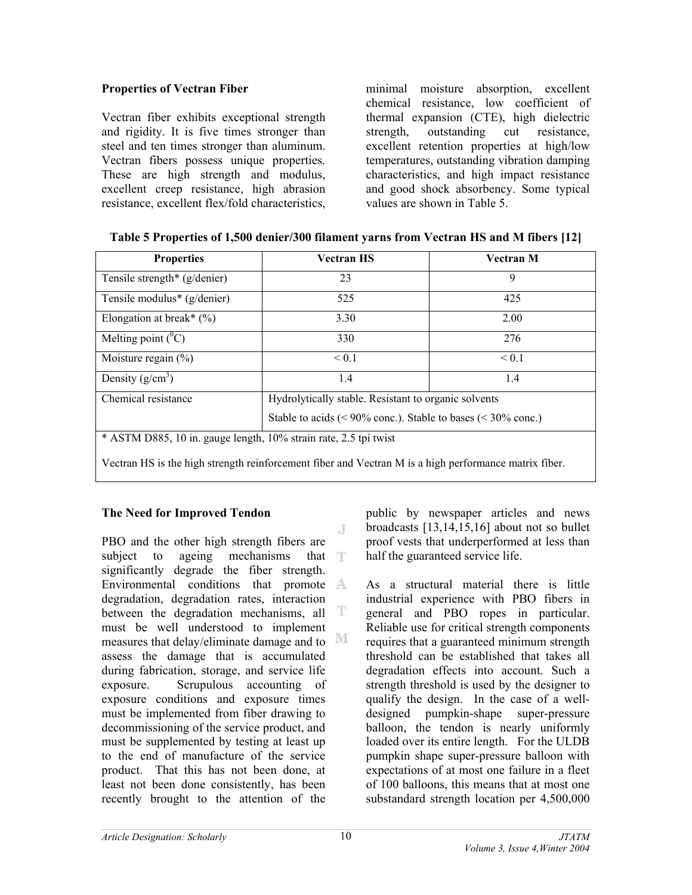# **Properties of Vectran Fiber**

Vectran fiber exhibits exceptional strength and rigidity. It is five times stronger than steel and ten times stronger than aluminum. Vectran fibers possess unique properties. These are high strength and modulus, excellent creep resistance, high abrasion resistance, excellent flex/fold characteristics,

minimal moisture absorption, excellent chemical resistance, low coefficient of thermal expansion (CTE), high dielectric strength, outstanding cut resistance, excellent retention properties at high/low temperatures, outstanding vibration damping characteristics, and high impact resistance and good shock absorbency. Some typical values are shown in Table 5.

| <b>Properties</b>                                                                                     | <b>Vectran HS</b>                                            | <b>Vectran M</b> |  |
|-------------------------------------------------------------------------------------------------------|--------------------------------------------------------------|------------------|--|
| Tensile strength* $(g/denier)$                                                                        | 23                                                           | 9                |  |
| Tensile modulus* (g/denier)                                                                           | 525                                                          | 425              |  |
| Elongation at break* $(\%)$                                                                           | 3.30                                                         | 2.00             |  |
| Melting point $(^0C)$                                                                                 | 330                                                          | 276              |  |
| Moisture regain $(\% )$                                                                               | < 0.1                                                        | < 0.1            |  |
| Density $(g/cm^3)$                                                                                    | 1.4                                                          | 1.4              |  |
| Chemical resistance                                                                                   | Hydrolytically stable. Resistant to organic solvents         |                  |  |
|                                                                                                       | Stable to acids (< 90% conc.). Stable to bases (< 30% conc.) |                  |  |
| * ASTM D885, 10 in. gauge length, 10% strain rate, 2.5 tpi twist                                      |                                                              |                  |  |
| Vectran HS is the high strength reinforcement fiber and Vectran M is a high performance matrix fiber. |                                                              |                  |  |

|  | Table 5 Properties of 1,500 denier/300 filament yarns from Vectran HS and M fibers [12] |  |  |
|--|-----------------------------------------------------------------------------------------|--|--|
|  |                                                                                         |  |  |

# **The Need for Improved Tendon**

J PBO and the other high strength fibers are subject to ageing mechanisms that  $\Gamma$ significantly degrade the fiber strength. Environmental conditions that promote A degradation, degradation rates, interaction between the degradation mechanisms, all T must be well understood to implement measures that delay/eliminate damage and to  $\mathbb M$ assess the damage that is accumulated during fabrication, storage, and service life exposure. Scrupulous accounting of exposure conditions and exposure times must be implemented from fiber drawing to decommissioning of the service product, and must be supplemented by testing at least up to the end of manufacture of the service product. That this has not been done, at least not been done consistently, has been recently brought to the attention of the

public by newspaper articles and news broadcasts [13,14,15,16] about not so bullet proof vests that underperformed at less than half the guaranteed service life.

As a structural material there is little industrial experience with PBO fibers in general and PBO ropes in particular. Reliable use for critical strength components requires that a guaranteed minimum strength threshold can be established that takes all degradation effects into account. Such a strength threshold is used by the designer to qualify the design. In the case of a welldesigned pumpkin-shape super-pressure balloon, the tendon is nearly uniformly loaded over its entire length. For the ULDB pumpkin shape super-pressure balloon with expectations of at most one failure in a fleet of 100 balloons, this means that at most one substandard strength location per 4,500,000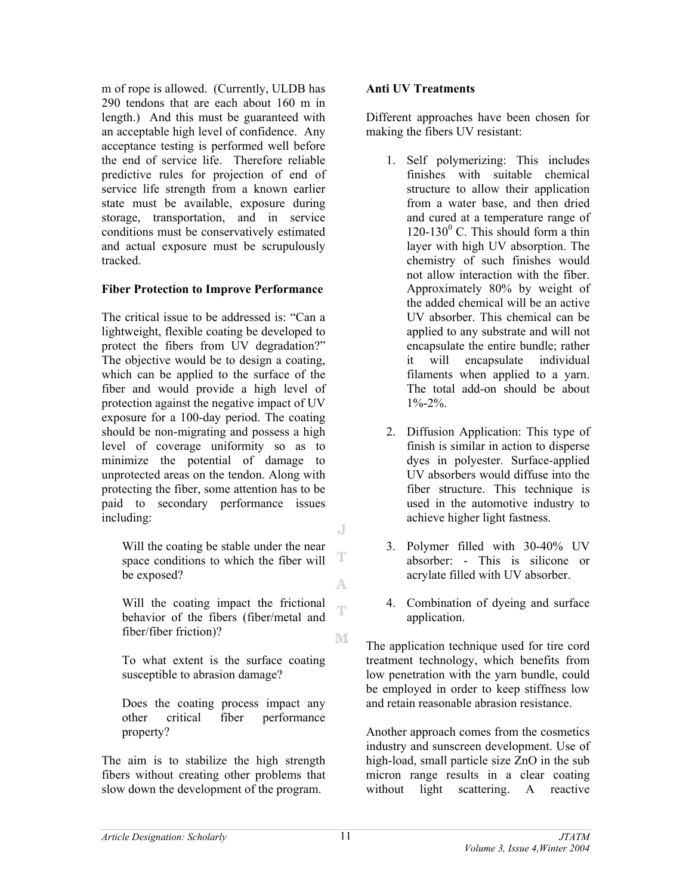m of rope is allowed. (Currently, ULDB has 290 tendons that are each about 160 m in length.) And this must be guaranteed with an acceptable high level of confidence. Any acceptance testing is performed well before the end of service life. Therefore reliable predictive rules for projection of end of service life strength from a known earlier state must be available, exposure during storage, transportation, and in service conditions must be conservatively estimated and actual exposure must be scrupulously tracked.

# **Fiber Protection to Improve Performance**

The critical issue to be addressed is: "Can a lightweight, flexible coating be developed to protect the fibers from UV degradation?" The objective would be to design a coating, which can be applied to the surface of the fiber and would provide a high level of protection against the negative impact of UV exposure for a 100-day period. The coating should be non-migrating and possess a high level of coverage uniformity so as to minimize the potential of damage to unprotected areas on the tendon. Along with protecting the fiber, some attention has to be paid to secondary performance issues including: J

Will the coating be stable under the near space conditions to which the fiber will be exposed?

Will the coating impact the frictional Ŧ behavior of the fibers (fiber/metal and fiber/fiber friction)? M

To what extent is the surface coating susceptible to abrasion damage?

Does the coating process impact any other critical fiber performance property?

The aim is to stabilize the high strength fibers without creating other problems that slow down the development of the program.

# **Anti UV Treatments**

Different approaches have been chosen for making the fibers UV resistant:

- 1. Self polymerizing: This includes finishes with suitable chemical structure to allow their application from a water base, and then dried and cured at a temperature range of 120-130 $^{\circ}$  C. This should form a thin layer with high UV absorption. The chemistry of such finishes would not allow interaction with the fiber. Approximately 80% by weight of the added chemical will be an active UV absorber. This chemical can be applied to any substrate and will not encapsulate the entire bundle; rather it will encapsulate individual filaments when applied to a yarn. The total add-on should be about 1%-2%.
- 2. Diffusion Application: This type of finish is similar in action to disperse dyes in polyester. Surface-applied UV absorbers would diffuse into the fiber structure. This technique is used in the automotive industry to achieve higher light fastness.
- 3. Polymer filled with 30-40% UV absorber: - This is silicone or acrylate filled with UV absorber.
- 4. Combination of dyeing and surface application.

The application technique used for tire cord treatment technology, which benefits from low penetration with the yarn bundle, could be employed in order to keep stiffness low and retain reasonable abrasion resistance.

Another approach comes from the cosmetics industry and sunscreen development. Use of high-load, small particle size ZnO in the sub micron range results in a clear coating without light scattering. A reactive

T

A.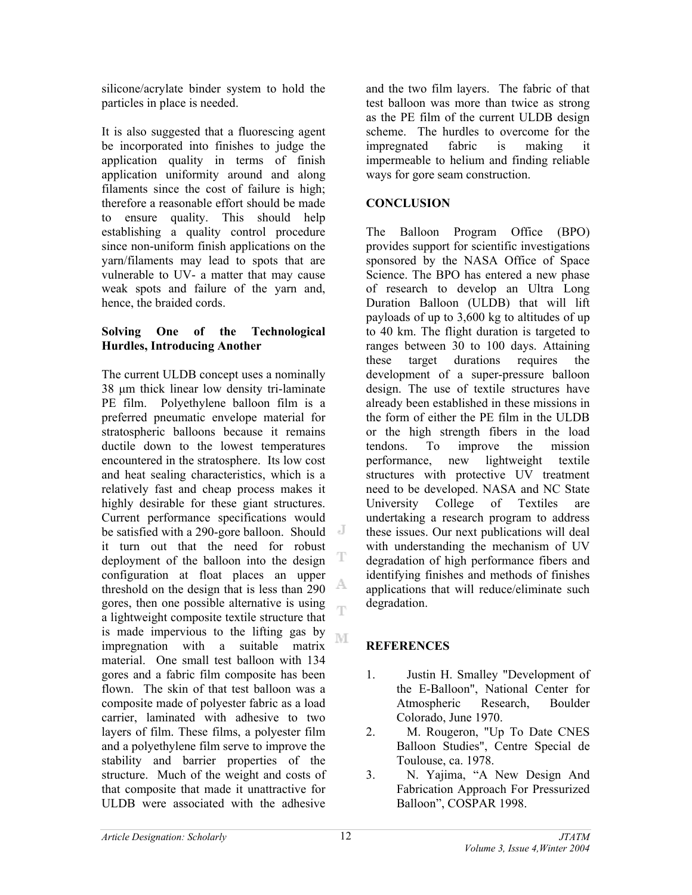silicone/acrylate binder system to hold the particles in place is needed.

It is also suggested that a fluorescing agent be incorporated into finishes to judge the application quality in terms of finish application uniformity around and along filaments since the cost of failure is high; therefore a reasonable effort should be made to ensure quality. This should help establishing a quality control procedure since non-uniform finish applications on the yarn/filaments may lead to spots that are vulnerable to UV- a matter that may cause weak spots and failure of the yarn and, hence, the braided cords.

# **Solving One of the Technological Hurdles, Introducing Another**

The current ULDB concept uses a nominally 38 µm thick linear low density tri-laminate PE film. Polyethylene balloon film is a preferred pneumatic envelope material for stratospheric balloons because it remains ductile down to the lowest temperatures encountered in the stratosphere. Its low cost and heat sealing characteristics, which is a relatively fast and cheap process makes it highly desirable for these giant structures. Current performance specifications would be satisfied with a 290-gore balloon. Should it turn out that the need for robust deployment of the balloon into the design configuration at float places an upper A threshold on the design that is less than 290 gores, then one possible alternative is using ηñ a lightweight composite textile structure that is made impervious to the lifting gas by M impregnation with a suitable matrix material. One small test balloon with 134 gores and a fabric film composite has been flown. The skin of that test balloon was a composite made of polyester fabric as a load carrier, laminated with adhesive to two layers of film. These films, a polyester film and a polyethylene film serve to improve the stability and barrier properties of the structure. Much of the weight and costs of that composite that made it unattractive for ULDB were associated with the adhesive

and the two film layers. The fabric of that test balloon was more than twice as strong as the PE film of the current ULDB design scheme. The hurdles to overcome for the impregnated fabric is making it impermeable to helium and finding reliable ways for gore seam construction.

# **CONCLUSION**

The Balloon Program Office (BPO) provides support for scientific investigations sponsored by the NASA Office of Space Science. The BPO has entered a new phase of research to develop an Ultra Long Duration Balloon (ULDB) that will lift payloads of up to 3,600 kg to altitudes of up to 40 km. The flight duration is targeted to ranges between 30 to 100 days. Attaining these target durations requires the development of a super-pressure balloon design. The use of textile structures have already been established in these missions in the form of either the PE film in the ULDB or the high strength fibers in the load tendons. To improve the mission performance, new lightweight textile structures with protective UV treatment need to be developed. NASA and NC State University College of Textiles are undertaking a research program to address these issues. Our next publications will deal with understanding the mechanism of UV degradation of high performance fibers and identifying finishes and methods of finishes applications that will reduce/eliminate such degradation.

# **REFERENCES**

- 1. Justin H. Smalley "Development of the E-Balloon", National Center for Atmospheric Research, Boulder Colorado, June 1970.
- 2. M. Rougeron, "Up To Date CNES Balloon Studies", Centre Special de Toulouse, ca. 1978.
- 3. N. Yajima, "A New Design And Fabrication Approach For Pressurized Balloon", COSPAR 1998.